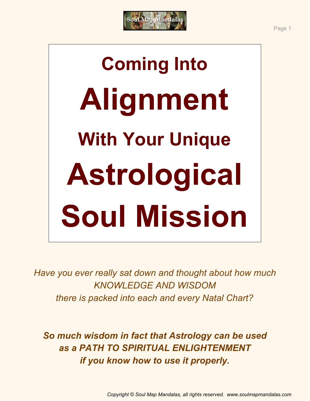

# **Coming Into Alignment With Your Unique Astrological Soul Mission**

*Have you ever really sat down and thought about how much KNOWLEDGE AND WISDOM there is packed into each and every Natal Chart?*

*So much wisdom in fact that Astrology can be used as a PATH TO SPIRITUAL ENLIGHTENMENT if you know how to use it properly.*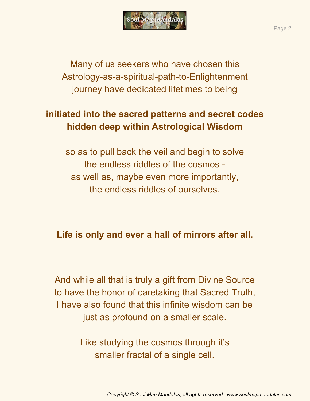

Many of us seekers who have chosen this Astrology-as-a-spiritual-path-to-Enlightenment journey have dedicated lifetimes to being

# **initiated into the sacred patterns and secret codes hidden deep within Astrological Wisdom**

so as to pull back the veil and begin to solve the endless riddles of the cosmos as well as, maybe even more importantly, the endless riddles of ourselves.

## **Life is only and ever a hall of mirrors after all.**

And while all that is truly a gift from Divine Source to have the honor of caretaking that Sacred Truth, I have also found that this infinite wisdom can be just as profound on a smaller scale.

> Like studying the cosmos through it's smaller fractal of a single cell.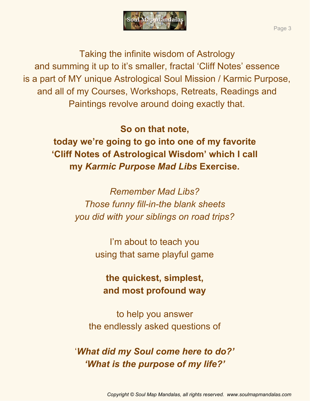

Taking the infinite wisdom of Astrology and summing it up to it's smaller, fractal 'Cliff Notes' essence is a part of MY unique Astrological Soul Mission / Karmic Purpose, and all of my Courses, Workshops, Retreats, Readings and Paintings revolve around doing exactly that.

> **So on that note, today we're going to go into one of my favorite 'Cliff Notes of Astrological Wisdom' which I call my** *Karmic Purpose Mad Libs* **Exercise.**

> > *Remember Mad Libs? Those funny fill-in-the blank sheets you did with your siblings on road trips?*

> > > I'm about to teach you using that same playful game

**the quickest, simplest, and most profound way**

to help you answer the endlessly asked questions of

'*What did my Soul come here to do?' 'What is the purpose of my life?'*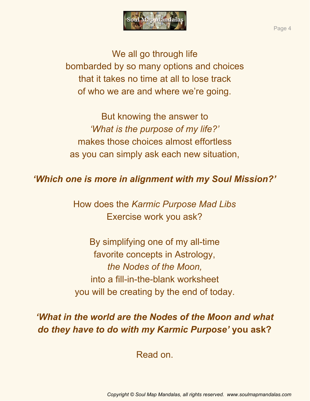

We all go through life bombarded by so many options and choices that it takes no time at all to lose track of who we are and where we're going.

But knowing the answer to *'What is the purpose of my life?'* makes those choices almost effortless as you can simply ask each new situation,

#### *'Which one is more in alignment with my Soul Mission?'*

How does the *Karmic Purpose Mad Libs* Exercise work you ask?

By simplifying one of my all-time favorite concepts in Astrology, *the Nodes of the Moon,* into a fill-in-the-blank worksheet you will be creating by the end of today.

# *'What in the world are the Nodes of the Moon and what do they have to do with my Karmic Purpose'* **you ask?**

Read on.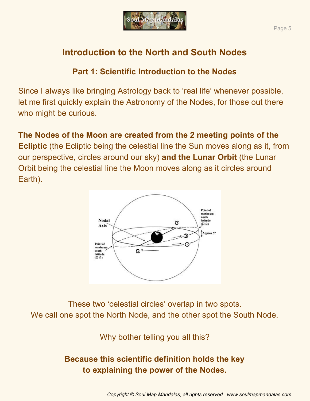

# **Introduction to the North and South Nodes**

#### **Part 1: Scientific Introduction to the Nodes**

Since I always like bringing Astrology back to 'real life' whenever possible, let me first quickly explain the Astronomy of the Nodes, for those out there who might be curious.

**The Nodes of the Moon are created from the 2 meeting points of the Ecliptic** (the Ecliptic being the celestial line the Sun moves along as it, from our perspective, circles around our sky) **and the Lunar Orbit** (the Lunar Orbit being the celestial line the Moon moves along as it circles around Earth).



These two 'celestial circles' overlap in two spots. We call one spot the North Node, and the other spot the South Node.

Why bother telling you all this?

# **Because this scientific definition holds the key to explaining the power of the Nodes.**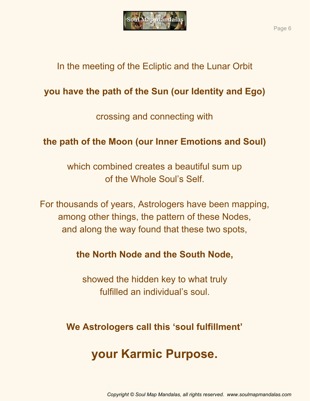

## In the meeting of the Ecliptic and the Lunar Orbit

# **you have the path of the Sun (our Identity and Ego)**

crossing and connecting with

## **the path of the Moon (our Inner Emotions and Soul)**

which combined creates a beautiful sum up of the Whole Soul's Self.

For thousands of years, Astrologers have been mapping, among other things, the pattern of these Nodes, and along the way found that these two spots,

**the North Node and the South Node,**

showed the hidden key to what truly fulfilled an individual's soul.

**We Astrologers call this 'soul fulfillment'**

# **your Karmic Purpose.**

*Copyright © Soul Map Mandalas, all rights reserved. www.soulmapmandalas.com*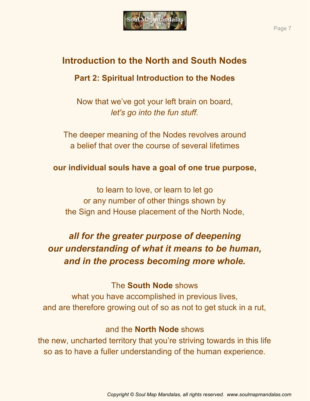

# **Introduction to the North and South Nodes**

#### **Part 2: Spiritual Introduction to the Nodes**

Now that we've got your left brain on board, *let's go into the fun stuff.*

The deeper meaning of the Nodes revolves around a belief that over the course of several lifetimes

#### **our individual souls have a goal of one true purpose,**

to learn to love, or learn to let go or any number of other things shown by the Sign and House placement of the North Node,

# *all for the greater purpose of deepening our understanding of what it means to be human, and in the process becoming more whole.*

#### The **South Node** shows

what you have accomplished in previous lives, and are therefore growing out of so as not to get stuck in a rut,

#### and the **North Node** shows

the new, uncharted territory that you're striving towards in this life so as to have a fuller understanding of the human experience.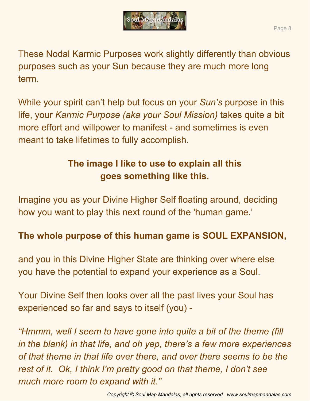

These Nodal Karmic Purposes work slightly differently than obvious purposes such as your Sun because they are much more long term.

While your spirit can't help but focus on your *Sun's* purpose in this life, your *Karmic Purpose (aka your Soul Mission)* takes quite a bit more effort and willpower to manifest - and sometimes is even meant to take lifetimes to fully accomplish.

# **The image I like to use to explain all this goes something like this.**

Imagine you as your Divine Higher Self floating around, deciding how you want to play this next round of the 'human game.'

# **The whole purpose of this human game is SOUL EXPANSION,**

and you in this Divine Higher State are thinking over where else you have the potential to expand your experience as a Soul.

Your Divine Self then looks over all the past lives your Soul has experienced so far and says to itself (you) -

*"Hmmm, well I seem to have gone into quite a bit of the theme (fill in the blank) in that life, and oh yep, there's a few more experiences of that theme in that life over there, and over there seems to be the rest of it. Ok, I think I'm pretty good on that theme, I don't see much more room to expand with it."*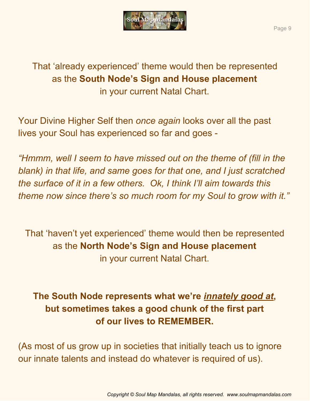

That 'already experienced' theme would then be represented as the **South Node's Sign and House placement** in your current Natal Chart.

Your Divine Higher Self then *once again* looks over all the past lives your Soul has experienced so far and goes -

*"Hmmm, well I seem to have missed out on the theme of (fill in the blank) in that life, and same goes for that one, and I just scratched the surface of it in a few others. Ok, I think I'll aim towards this theme now since there's so much room for my Soul to grow with it."*

That 'haven't yet experienced' theme would then be represented as the **North Node's Sign and House placement** in your current Natal Chart.

# **The South Node represents what we're** *innately good at***, but sometimes takes a good chunk of the first part of our lives to REMEMBER.**

(As most of us grow up in societies that initially teach us to ignore our innate talents and instead do whatever is required of us).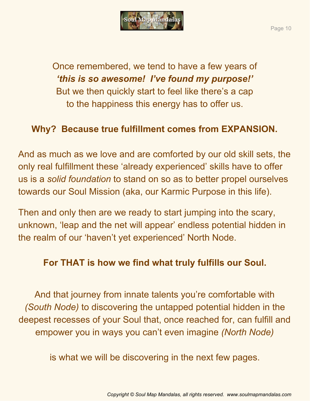

Once remembered, we tend to have a few years of *'this is so awesome! I've found my purpose!'* But we then quickly start to feel like there's a cap to the happiness this energy has to offer us.

## **Why? Because true fulfillment comes from EXPANSION.**

And as much as we love and are comforted by our old skill sets, the only real fulfillment these 'already experienced' skills have to offer us is a *solid foundation* to stand on so as to better propel ourselves towards our Soul Mission (aka, our Karmic Purpose in this life).

Then and only then are we ready to start jumping into the scary, unknown, 'leap and the net will appear' endless potential hidden in the realm of our 'haven't yet experienced' North Node.

#### **For THAT is how we find what truly fulfills our Soul.**

And that journey from innate talents you're comfortable with *(South Node)* to discovering the untapped potential hidden in the deepest recesses of your Soul that, once reached for, can fulfill and empower you in ways you can't even imagine *(North Node)*

is what we will be discovering in the next few pages.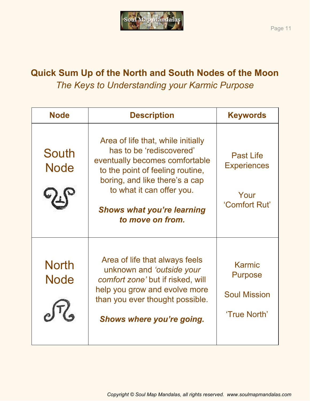

# **Quick Sum Up of the North and South Nodes of the Moon** *The Keys to Understanding your Karmic Purpose*

| <b>Node</b>                 | <b>Description</b>                                                                                                                                                                                                                                           | <b>Keywords</b>                                                 |
|-----------------------------|--------------------------------------------------------------------------------------------------------------------------------------------------------------------------------------------------------------------------------------------------------------|-----------------------------------------------------------------|
| <b>South</b><br><b>Node</b> | Area of life that, while initially<br>has to be 'rediscovered'<br>eventually becomes comfortable<br>to the point of feeling routine,<br>boring, and like there's a cap<br>to what it can offer you.<br><b>Shows what you're learning</b><br>to move on from. | <b>Past Life</b><br><b>Experiences</b><br>Your<br>'Comfort Rut' |
| <b>North</b><br><b>Node</b> | Area of life that always feels<br>unknown and 'outside your<br>comfort zone' but if risked, will<br>help you grow and evolve more<br>than you ever thought possible.<br>Shows where you're going.                                                            | Karmic<br><b>Purpose</b><br><b>Soul Mission</b><br>'True North' |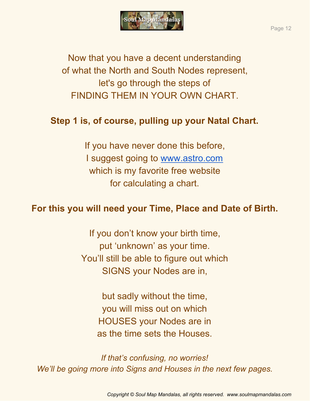

Now that you have a decent understanding of what the North and South Nodes represent, let's go through the steps of FINDING THEM IN YOUR OWN CHART.

## **Step 1 is, of course, pulling up your Natal Chart.**

If you have never done this before, I suggest going to [www.astro.com](http://www.astro.com/) which is my favorite free website for calculating a chart.

#### **For this you will need your Time, Place and Date of Birth.**

If you don't know your birth time, put 'unknown' as your time. You'll still be able to figure out which SIGNS your Nodes are in,

> but sadly without the time, you will miss out on which HOUSES your Nodes are in as the time sets the Houses.

*If that's confusing, no worries! We'll be going more into Signs and Houses in the next few pages.*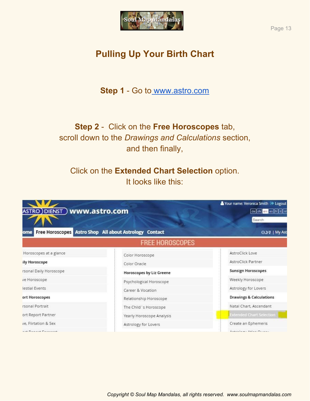

# **Pulling Up Your Birth Chart**

**Step 1** - Go to [www.astro.com](http://www.astro.com/)

## **Step 2** - Click on the **Free Horoscopes** tab, scroll down to the *Drawings and Calculations* section, and then finally,

#### Click on the **Extended Chart Selection** option. It looks like this:



Page 13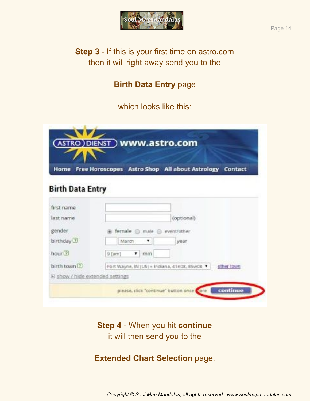

#### **Birth Data Entry** page

which looks like this:

| <b>Home</b>               | Free Horoscopes Astro Shop All about Astrology Contact     |
|---------------------------|------------------------------------------------------------|
|                           |                                                            |
| <b>Birth Data Entry</b>   |                                                            |
| first name                |                                                            |
| last name                 | (optional)                                                 |
| gender                    | female                                                     |
|                           | male.<br>event/other                                       |
| birthday <sup>(2)</sup>   | year<br>March<br>Ŧ.                                        |
| hour <sup>(2)</sup>       | 9 [am]<br>review.<br>Ŧ.                                    |
| birth town <sup>[7]</sup> | Fort Wayne, IN (US) = Indiana, 41n08, 85w08.<br>other town |
|                           |                                                            |

**Step 4** - When you hit **continue** it will then send you to the

**Extended Chart Selection** page.

*Copyright © Soul Map Mandalas, all rights reserved. www.soulmapmandalas.com*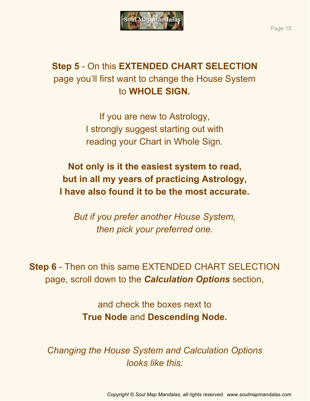

# **Step 5** - On this **EXTENDED CHART SELECTION** page you'll first want to change the House System to **WHOLE SIGN.**

If you are new to Astrology, I strongly suggest starting out with reading your Chart in Whole Sign.

**Not only is it the easiest system to read, but in all my years of practicing Astrology, I have also found it to be the most accurate.**

*But if you prefer another House System, then pick your preferred one.*

**Step 6** - Then on this same EXTENDED CHART SELECTION page, scroll down to the *Calculation Options* section,

> and check the boxes next to **True Node** and **Descending Node.**

*Changing the House System and Calculation Options looks like this:*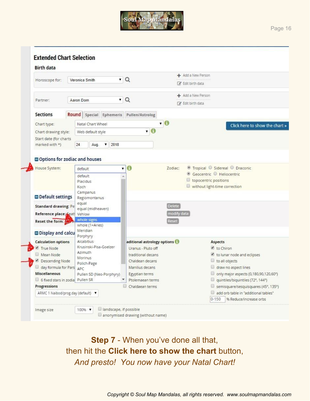

| <b>Birth data</b>                |                                    |                             |                                       |  |
|----------------------------------|------------------------------------|-----------------------------|---------------------------------------|--|
| Horoscope for:                   | Veronica Smith                     | $\cdot$ Q                   | + Add a New Person                    |  |
|                                  |                                    |                             | <b>&amp;</b> Edit birth data          |  |
|                                  |                                    |                             | Add a New Person                      |  |
| Aaron Dorn<br>Partner:           |                                    | $\alpha$<br>$\blacksquare$  | R Edit birth data                     |  |
| <b>Sections</b>                  | Round Special Ephemeris            | Pullen/Astrolog             |                                       |  |
| Chart type:                      | Natal Chart Wheel                  | $\cdot$ 0                   | Click here to show the chart »        |  |
| Chart drawing style:             | Web default style                  | , 6                         |                                       |  |
| Start date (for charts           |                                    |                             |                                       |  |
| marked with *)                   | 24<br>2018<br>Aug.<br>▼            |                             |                                       |  |
|                                  |                                    |                             |                                       |  |
|                                  | Options for zodiac and houses      |                             |                                       |  |
| House System:                    | default                            | $\mathbf 6$<br>Zodiac:<br>۳ | ● Tropical © Sidereal © Draconic      |  |
|                                  | default                            |                             | Geocentric Heliocentric               |  |
|                                  | Placidus                           |                             | topocentric positions                 |  |
|                                  | Koch:                              |                             | without light-time correction         |  |
| Default settings                 | Campanus<br>Regiomontanus          |                             |                                       |  |
|                                  | equal                              |                             |                                       |  |
| <b>Standard drawing: Pe</b>      | equal (midheaven)                  | <b>Delete</b>               |                                       |  |
| Reference place: Seat            | Vehlow                             | modify data                 |                                       |  |
| Reset the form:                  | whole signs<br>whole (1=Aries)     | Reset                       |                                       |  |
|                                  | Meridian                           |                             |                                       |  |
| Display and calcu                | Porphyry                           |                             |                                       |  |
| <b>Calculation options</b>       | Alcabitius                         | aditional astrology options | Aspects                               |  |
| True Node                        | Krusinski-Pisa-Goelzer             | Uranus - Pluto off          | to Chiron                             |  |
| Mean Node                        | Azimuth                            | traditional decans          | to lunar node and eclipses            |  |
| Descending Node                  | Morinus<br>Polich-Page             | Chaldean decans             | to all objects<br>u                   |  |
| day formula for Pars             | APC                                | Manilius decans             | draw no aspect lines                  |  |
| <b>Miscellaneous</b>             | Pullen SD (Neo-Porphyry)           | Egyptian terms              | only major aspects (0,180,90,120,60°) |  |
| 6 fixed stars in zodia Pullen SR |                                    | Ptolemaean terms            | quintiles/biquintiles (72°, 144°)     |  |
|                                  |                                    | Chaldaean terms             | semisquare/sesquisquares (45°, 135°)  |  |
| Progressions                     | ARMC 1 Naibod/prog.day (default) ▼ |                             | add orb table in "additional tables"  |  |

**Step 7** - When you've done all that, then hit the **Click here to show the chart** button, *And presto! You now have your Natal Chart!*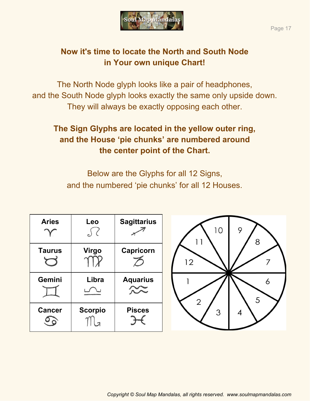

#### **Now it's time to locate the North and South Node in Your own unique Chart!**

The North Node glyph looks like a pair of headphones, and the South Node glyph looks exactly the same only upside down. They will always be exactly opposing each other.

## **The Sign Glyphs are located in the yellow outer ring, and the House 'pie chunks' are numbered around the center point of the Chart.**

Below are the Glyphs for all 12 Signs, and the numbered 'pie chunks' for all 12 Houses.

| <b>Aries</b>  | Leo<br>$\cup$ ( | <b>Sagittarius</b> | 10<br>9<br>8 |
|---------------|-----------------|--------------------|--------------|
| <b>Taurus</b> | <b>Virgo</b>    | Capricorn          | 12           |
| Gemini        | Libra           | <b>Aquarius</b>    | n<br>5<br>2  |
| <b>Cancer</b> | <b>Scorpio</b>  | <b>Pisces</b>      | 3<br>4       |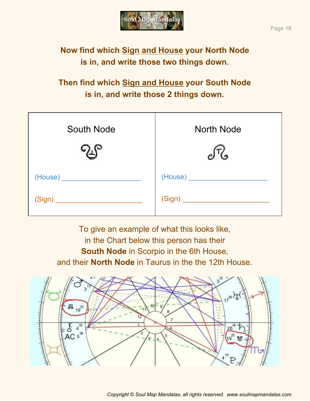

# **Now find which Sign and House your North Node is in, and write those two things down.**

# **Then find which Sign and House your South Node is in, and write those 2 things down.**

| <b>South Node</b> | <b>North Node</b> |
|-------------------|-------------------|
|                   |                   |
|                   |                   |
|                   | (Sign)            |

To give an example of what this looks like, in the Chart below this person has their **South Node** in Scorpio in the 6th House, and their **North Node** in Taurus in the the 12th House.

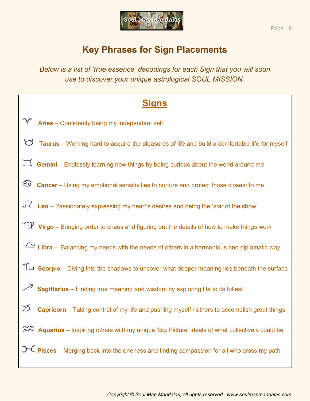

## **Key Phrases for Sign Placements**

*Below is a list of 'true essence' decodings for each Sign that you will soon use to discover your unique astrological SOUL MISSION.*

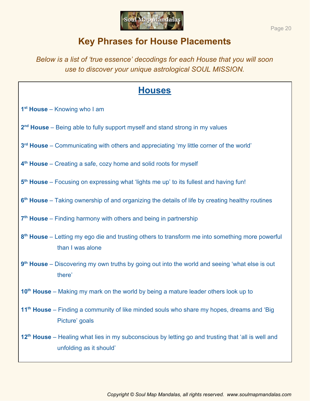

## **Key Phrases for House Placements**

*Below is a list of 'true essence' decodings for each House that you will soon use to discover your unique astrological SOUL MISSION.*

- **1 st House** Knowing who I am
- 2<sup>nd</sup> House Being able to fully support myself and stand strong in my values
- 3<sup>rd</sup> House Communicating with others and appreciating 'my little corner of the world'
- **4 th House** Creating a safe, cozy home and solid roots for myself
- 5<sup>th</sup> House Focusing on expressing what 'lights me up' to its fullest and having fun!
- **6 th House** Taking ownership of and organizing the details of life by creating healthy routines
- 7<sup>th</sup> House Finding harmony with others and being in partnership
- **8 th House** Letting my ego die and trusting others to transform me into something more powerful than I was alone
- **9 th House** Discovering my own truths by going out into the world and seeing 'what else is out there'
- **10th House** Making my mark on the world by being a mature leader others look up to
- **11th House** Finding a community of like minded souls who share my hopes, dreams and 'Big Picture' goals
- 12<sup>th</sup> House Healing what lies in my subconscious by letting go and trusting that 'all is well and unfolding as it should'

Page 20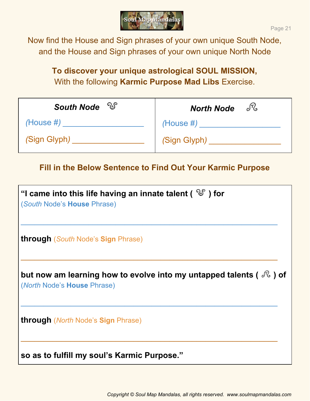

Now find the House and Sign phrases of your own unique South Node, and the House and Sign phrases of your own unique North Node

#### **To discover your unique astrological SOUL MISSION,** With the following **Karmic Purpose Mad Libs** Exercise.

| South Node <sup>26</sup> | <b>North Node</b> |
|--------------------------|-------------------|
| $(House \#)$             | $(House \#)$      |
| (Sign Glyph)             | (Sign Glyph)      |

#### **Fill in the Below Sentence to Find Out Your Karmic Purpose**

| "I came into this life having an innate talent ( $\sqrt[3]{s}$ ) for<br>(South Node's House Phrase)                              |
|----------------------------------------------------------------------------------------------------------------------------------|
| <b>through</b> (South Node's Sign Phrase)                                                                                        |
| but now am learning how to evolve into my untapped talents ( $\sqrt[\mathbb{C}]{\mathbb{C}}$ ) of<br>(North Node's House Phrase) |
| <b>through</b> ( <i>North</i> Node's Sign Phrase)                                                                                |
| so as to fulfill my soul's Karmic Purpose."                                                                                      |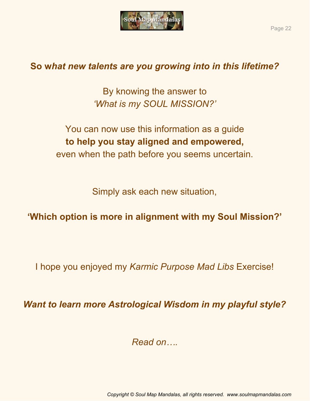

# **So w***hat new talents are you growing into in this lifetime?*

By knowing the answer to *'What is my SOUL MISSION?'*

You can now use this information as a guide **to help you stay aligned and empowered,** even when the path before you seems uncertain.

Simply ask each new situation,

**'Which option is more in alignment with my Soul Mission?'**

I hope you enjoyed my *Karmic Purpose Mad Libs* Exercise!

*Want to learn more Astrological Wisdom in my playful style?*

*Read on….*